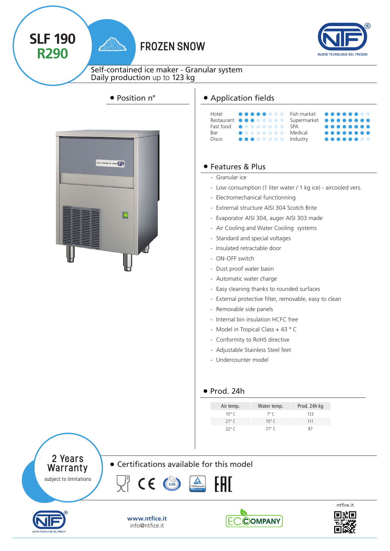



Self-contained ice maker - Granular system Daily production up to 123 kg





**SLF 190**

**R290**